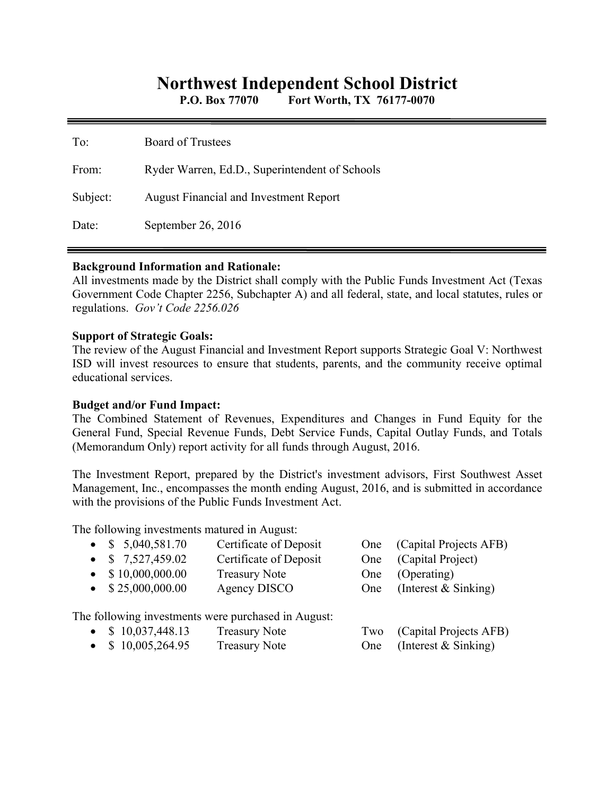# **Northwest Independent School District**

**P.O. Box 77070 Fort Worth, TX 76177-0070** 

| To:      | <b>Board of Trustees</b>                       |
|----------|------------------------------------------------|
| From:    | Ryder Warren, Ed.D., Superintendent of Schools |
| Subject: | <b>August Financial and Investment Report</b>  |
| Date:    | September 26, 2016                             |

#### **Background Information and Rationale:**

All investments made by the District shall comply with the Public Funds Investment Act (Texas Government Code Chapter 2256, Subchapter A) and all federal, state, and local statutes, rules or regulations. *Gov't Code 2256.026* 

### **Support of Strategic Goals:**

The review of the August Financial and Investment Report supports Strategic Goal V: Northwest ISD will invest resources to ensure that students, parents, and the community receive optimal educational services.

## **Budget and/or Fund Impact:**

The Combined Statement of Revenues, Expenditures and Changes in Fund Equity for the General Fund, Special Revenue Funds, Debt Service Funds, Capital Outlay Funds, and Totals (Memorandum Only) report activity for all funds through August, 2016.

The Investment Report, prepared by the District's investment advisors, First Southwest Asset Management, Inc., encompasses the month ending August, 2016, and is submitted in accordance with the provisions of the Public Funds Investment Act.

The following investments matured in August:

|           | • $$5,040,581.70$         | Certificate of Deposit                              | One | (Capital Projects AFB) |
|-----------|---------------------------|-----------------------------------------------------|-----|------------------------|
|           | • $$7,527,459.02$         | Certificate of Deposit                              | One | (Capital Project)      |
|           | $\bullet$ \$10,000,000.00 | <b>Treasury Note</b>                                | One | (Operating)            |
|           | $\bullet$ \$25,000,000.00 | Agency DISCO                                        | One | (Interest $&$ Sinking) |
|           |                           | The following investments were purchased in August: |     |                        |
|           | • $$10,037,448.13$        | <b>Treasury Note</b>                                | Two | (Capital Projects AFB) |
| $\bullet$ | \$10,005,264.95           | <b>Treasury Note</b>                                | One | (Interest & Sinking)   |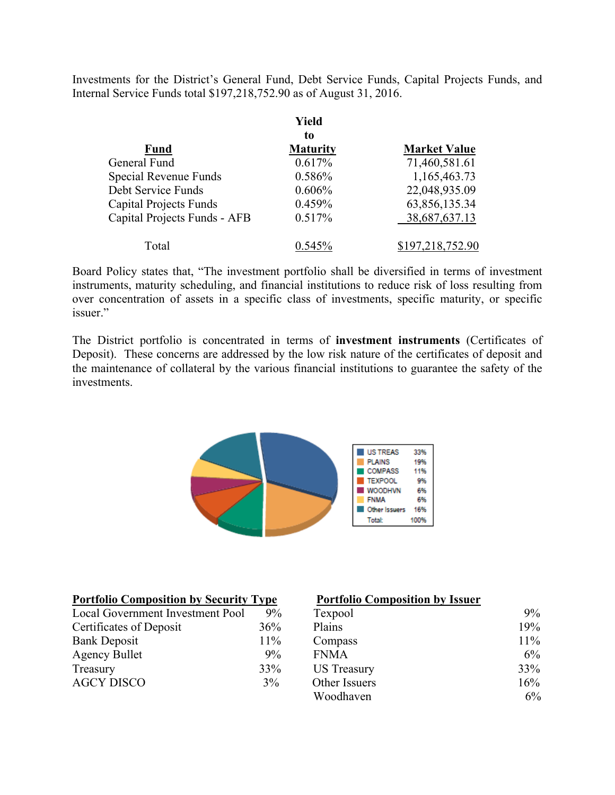Investments for the District's General Fund, Debt Service Funds, Capital Projects Funds, and Internal Service Funds total \$197,218,752.90 as of August 31, 2016.

|                               | Yield           |                     |
|-------------------------------|-----------------|---------------------|
|                               | to              |                     |
| <b>Fund</b>                   | <b>Maturity</b> | <b>Market Value</b> |
| General Fund                  | 0.617%          | 71,460,581.61       |
| Special Revenue Funds         | 0.586%          | 1,165,463.73        |
| Debt Service Funds            | 0.606%          | 22,048,935.09       |
| <b>Capital Projects Funds</b> | 0.459%          | 63,856,135.34       |
| Capital Projects Funds - AFB  | 0.517%          | 38,687,637.13       |
| Total                         | $0.545\%$       | \$197,218,752.90    |

Board Policy states that, "The investment portfolio shall be diversified in terms of investment instruments, maturity scheduling, and financial institutions to reduce risk of loss resulting from over concentration of assets in a specific class of investments, specific maturity, or specific issuer."

The District portfolio is concentrated in terms of **investment instruments** (Certificates of Deposit). These concerns are addressed by the low risk nature of the certificates of deposit and the maintenance of collateral by the various financial institutions to guarantee the safety of the investments.



| <b>Portfolio Composition by Security Type</b> |       | <b>Portfolio Composition by Issuer</b> |     |
|-----------------------------------------------|-------|----------------------------------------|-----|
| Local Government Investment Pool              | $9\%$ | Texpool                                | 9%  |
| Certificates of Deposit                       | 36%   | Plains                                 | 19% |
| <b>Bank Deposit</b>                           | 11%   | Compass                                | 11% |
| <b>Agency Bullet</b>                          | 9%    | <b>FNMA</b>                            | 6%  |
| Treasury                                      | 33%   | US Treasury                            | 33% |
| <b>AGCY DISCO</b>                             | 3%    | Other Issuers                          | 16% |
|                                               |       | Woodhaven                              | 6%  |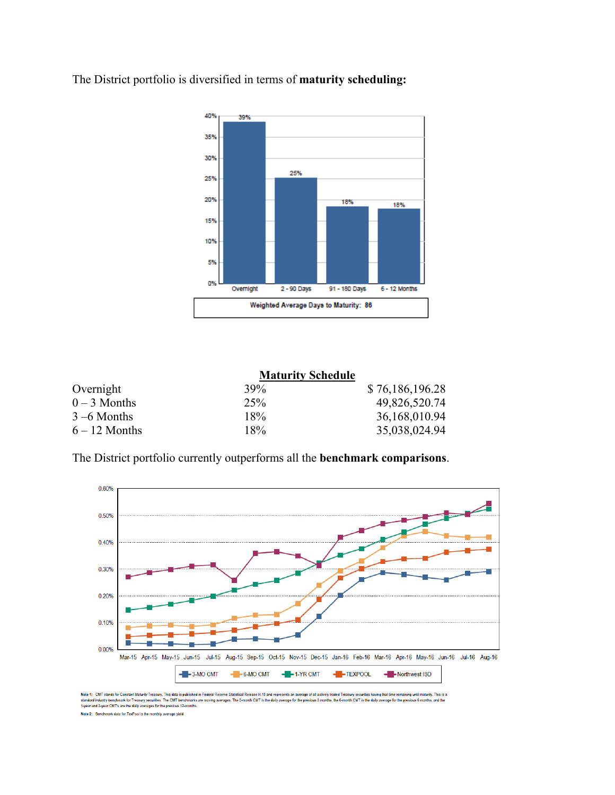

The District portfolio is diversified in terms of **maturity scheduling:** 

|                 | <b>Maturity Schedule</b> |                 |
|-----------------|--------------------------|-----------------|
| Overnight       | 39%                      | \$76,186,196.28 |
| $0 - 3$ Months  | 25%                      | 49,826,520.74   |
| $3 - 6$ Months  | 18%                      | 36,168,010.94   |
| $6 - 12$ Months | 18%                      | 35,038,024.94   |

The District portfolio currently outperforms all the **benchmark comparisons**.



Note 1: CMT stands for Constant Maturity Treasury, This data is published in Federal Reserve St.<br>standard industry benchmark for Treasury securities. The CMT benchmarks are moving averages.<br>1-year and 2-year CMT's are the ase H.15 and represents an a al Relea rage of all actively traded Treasury se rities having that time remaining until maturity. This is a us 3 months, the 6-month CMT is the daily average for the previous 6 months, and the oving averages. The 3-month CMT is the daily average for the p Note 2: Benchmark data for TexPool is the monthly average yield.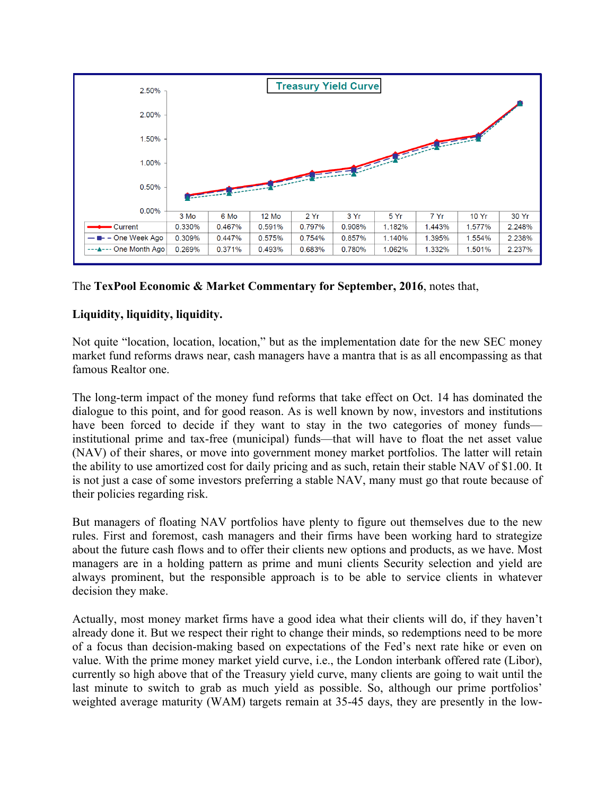

# The **TexPool Economic & Market Commentary for September, 2016**, notes that,

# **Liquidity, liquidity, liquidity.**

Not quite "location, location, location," but as the implementation date for the new SEC money market fund reforms draws near, cash managers have a mantra that is as all encompassing as that famous Realtor one.

The long-term impact of the money fund reforms that take effect on Oct. 14 has dominated the dialogue to this point, and for good reason. As is well known by now, investors and institutions have been forced to decide if they want to stay in the two categories of money funds institutional prime and tax-free (municipal) funds—that will have to float the net asset value (NAV) of their shares, or move into government money market portfolios. The latter will retain the ability to use amortized cost for daily pricing and as such, retain their stable NAV of \$1.00. It is not just a case of some investors preferring a stable NAV, many must go that route because of their policies regarding risk.

But managers of floating NAV portfolios have plenty to figure out themselves due to the new rules. First and foremost, cash managers and their firms have been working hard to strategize about the future cash flows and to offer their clients new options and products, as we have. Most managers are in a holding pattern as prime and muni clients Security selection and yield are always prominent, but the responsible approach is to be able to service clients in whatever decision they make.

Actually, most money market firms have a good idea what their clients will do, if they haven't already done it. But we respect their right to change their minds, so redemptions need to be more of a focus than decision-making based on expectations of the Fed's next rate hike or even on value. With the prime money market yield curve, i.e., the London interbank offered rate (Libor), currently so high above that of the Treasury yield curve, many clients are going to wait until the last minute to switch to grab as much yield as possible. So, although our prime portfolios' weighted average maturity (WAM) targets remain at 35-45 days, they are presently in the low